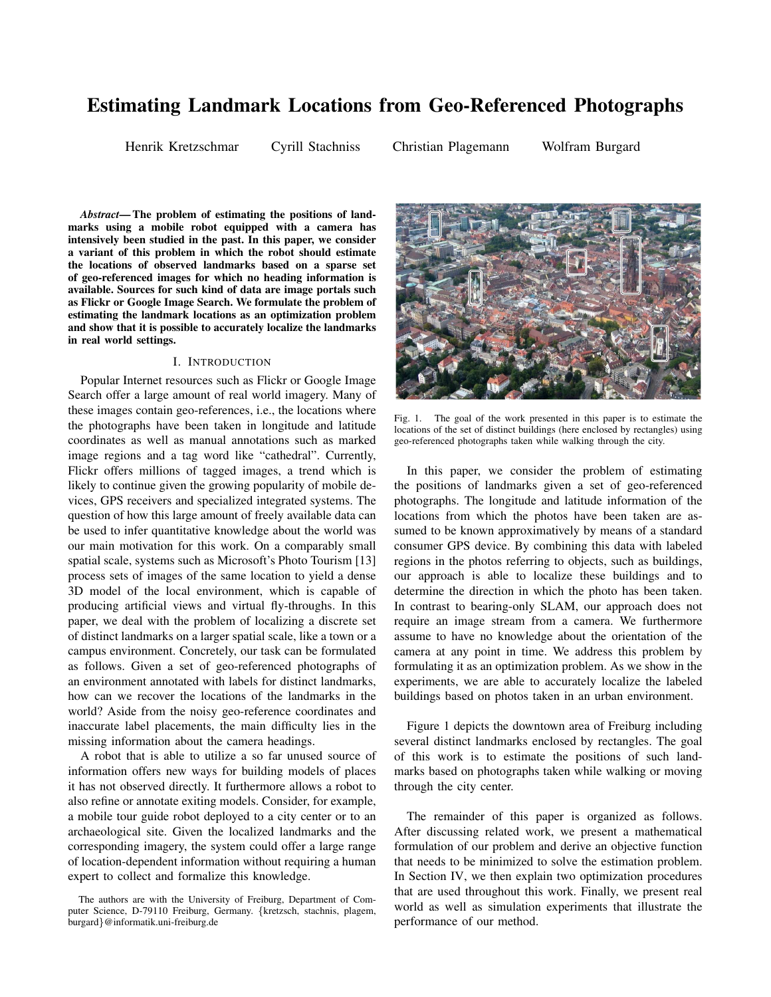# **Estimating Landmark Locations from Geo-Referenced Photographs**

Henrik Kretzschmar Cyrill Stachniss Christian Plagemann Wolfram Burgard

*Abstract***— The problem of estimating the positions of landmarks using a mobile robot equipped with a camera has intensively been studied in the past. In this paper, we consider a variant of this problem in which the robot should estimate the locations of observed landmarks based on a sparse set of geo-referenced images for which no heading information is available. Sources for such kind of data are image portals such as Flickr or Google Image Search. We formulate the problem of estimating the landmark locations as an optimization problem and show that it is possible to accurately localize the landmarks in real world settings.**

### I. INTRODUCTION

Popular Internet resources such as Flickr or Google Image Search offer a large amount of real world imagery. Many of these images contain geo-references, i.e., the locations where the photographs have been taken in longitude and latitude coordinates as well as manual annotations such as marked image regions and a tag word like "cathedral". Currently, Flickr offers millions of tagged images, a trend which is likely to continue given the growing popularity of mobile devices, GPS receivers and specialized integrated systems. The question of how this large amount of freely available data can be used to infer quantitative knowledge about the world was our main motivation for this work. On a comparably small spatial scale, systems such as Microsoft's Photo Tourism [13] process sets of images of the same location to yield a dense 3D model of the local environment, which is capable of producing artificial views and virtual fly-throughs. In this paper, we deal with the problem of localizing a discrete set of distinct landmarks on a larger spatial scale, like a town or a campus environment. Concretely, our task can be formulated as follows. Given a set of geo-referenced photographs of an environment annotated with labels for distinct landmarks, how can we recover the locations of the landmarks in the world? Aside from the noisy geo-reference coordinates and inaccurate label placements, the main difficulty lies in the missing information about the camera headings.

A robot that is able to utilize a so far unused source of information offers new ways for building models of places it has not observed directly. It furthermore allows a robot to also refine or annotate exiting models. Consider, for example, a mobile tour guide robot deployed to a city center or to an archaeological site. Given the localized landmarks and the corresponding imagery, the system could offer a large range of location-dependent information without requiring a human expert to collect and formalize this knowledge.



Fig. 1. The goal of the work presented in this paper is to estimate the locations of the set of distinct buildings (here enclosed by rectangles) using geo-referenced photographs taken while walking through the city.

In this paper, we consider the problem of estimating the positions of landmarks given a set of geo-referenced photographs. The longitude and latitude information of the locations from which the photos have been taken are assumed to be known approximatively by means of a standard consumer GPS device. By combining this data with labeled regions in the photos referring to objects, such as buildings, our approach is able to localize these buildings and to determine the direction in which the photo has been taken. In contrast to bearing-only SLAM, our approach does not require an image stream from a camera. We furthermore assume to have no knowledge about the orientation of the camera at any point in time. We address this problem by formulating it as an optimization problem. As we show in the experiments, we are able to accurately localize the labeled buildings based on photos taken in an urban environment.

Figure 1 depicts the downtown area of Freiburg including several distinct landmarks enclosed by rectangles. The goal of this work is to estimate the positions of such landmarks based on photographs taken while walking or moving through the city center.

The remainder of this paper is organized as follows. After discussing related work, we present a mathematical formulation of our problem and derive an objective function that needs to be minimized to solve the estimation problem. In Section IV, we then explain two optimization procedures that are used throughout this work. Finally, we present real world as well as simulation experiments that illustrate the performance of our method.

The authors are with the University of Freiburg, Department of Computer Science, D-79110 Freiburg, Germany. {kretzsch, stachnis, plagem, burgard}@informatik.uni-freiburg.de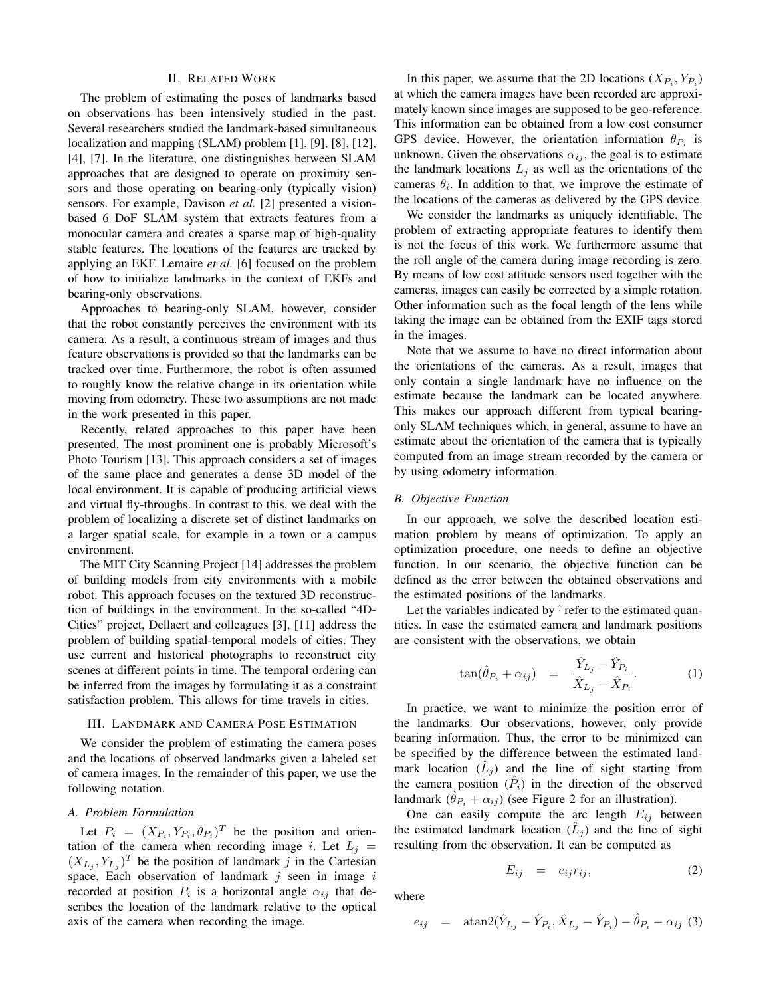## II. RELATED WORK

The problem of estimating the poses of landmarks based on observations has been intensively studied in the past. Several researchers studied the landmark-based simultaneous localization and mapping (SLAM) problem [1], [9], [8], [12], [4], [7]. In the literature, one distinguishes between SLAM approaches that are designed to operate on proximity sensors and those operating on bearing-only (typically vision) sensors. For example, Davison *et al.* [2] presented a visionbased 6 DoF SLAM system that extracts features from a monocular camera and creates a sparse map of high-quality stable features. The locations of the features are tracked by applying an EKF. Lemaire *et al.* [6] focused on the problem of how to initialize landmarks in the context of EKFs and bearing-only observations.

Approaches to bearing-only SLAM, however, consider that the robot constantly perceives the environment with its camera. As a result, a continuous stream of images and thus feature observations is provided so that the landmarks can be tracked over time. Furthermore, the robot is often assumed to roughly know the relative change in its orientation while moving from odometry. These two assumptions are not made in the work presented in this paper.

Recently, related approaches to this paper have been presented. The most prominent one is probably Microsoft's Photo Tourism [13]. This approach considers a set of images of the same place and generates a dense 3D model of the local environment. It is capable of producing artificial views and virtual fly-throughs. In contrast to this, we deal with the problem of localizing a discrete set of distinct landmarks on a larger spatial scale, for example in a town or a campus environment.

The MIT City Scanning Project [14] addresses the problem of building models from city environments with a mobile robot. This approach focuses on the textured 3D reconstruction of buildings in the environment. In the so-called "4D-Cities" project, Dellaert and colleagues [3], [11] address the problem of building spatial-temporal models of cities. They use current and historical photographs to reconstruct city scenes at different points in time. The temporal ordering can be inferred from the images by formulating it as a constraint satisfaction problem. This allows for time travels in cities.

#### III. LANDMARK AND CAMERA POSE ESTIMATION

We consider the problem of estimating the camera poses and the locations of observed landmarks given a labeled set of camera images. In the remainder of this paper, we use the following notation.

# *A. Problem Formulation*

Let  $P_i = (X_{P_i}, Y_{P_i}, \theta_{P_i})^T$  be the position and orientation of the camera when recording image i. Let  $L_j =$  $(X_{L_j}, Y_{L_j})^T$  be the position of landmark j in the Cartesian space. Each observation of landmark  $j$  seen in image  $i$ recorded at position  $P_i$  is a horizontal angle  $\alpha_{ij}$  that describes the location of the landmark relative to the optical axis of the camera when recording the image.

In this paper, we assume that the 2D locations  $(X_{P_i}, Y_{P_i})$ at which the camera images have been recorded are approximately known since images are supposed to be geo-reference. This information can be obtained from a low cost consumer GPS device. However, the orientation information  $\theta_{P_i}$  is unknown. Given the observations  $\alpha_{ij}$ , the goal is to estimate the landmark locations  $L_j$  as well as the orientations of the cameras  $\theta_i$ . In addition to that, we improve the estimate of the locations of the cameras as delivered by the GPS device.

We consider the landmarks as uniquely identifiable. The problem of extracting appropriate features to identify them is not the focus of this work. We furthermore assume that the roll angle of the camera during image recording is zero. By means of low cost attitude sensors used together with the cameras, images can easily be corrected by a simple rotation. Other information such as the focal length of the lens while taking the image can be obtained from the EXIF tags stored in the images.

Note that we assume to have no direct information about the orientations of the cameras. As a result, images that only contain a single landmark have no influence on the estimate because the landmark can be located anywhere. This makes our approach different from typical bearingonly SLAM techniques which, in general, assume to have an estimate about the orientation of the camera that is typically computed from an image stream recorded by the camera or by using odometry information.

# *B. Objective Function*

In our approach, we solve the described location estimation problem by means of optimization. To apply an optimization procedure, one needs to define an objective function. In our scenario, the objective function can be defined as the error between the obtained observations and the estimated positions of the landmarks.

Let the variables indicated by  $\hat{ }$  refer to the estimated quantities. In case the estimated camera and landmark positions are consistent with the observations, we obtain

$$
\tan(\hat{\theta}_{P_i} + \alpha_{ij}) = \frac{\hat{Y}_{L_j} - \hat{Y}_{P_i}}{\hat{X}_{L_j} - \hat{X}_{P_i}}.
$$
 (1)

In practice, we want to minimize the position error of the landmarks. Our observations, however, only provide bearing information. Thus, the error to be minimized can be specified by the difference between the estimated landmark location  $(\hat{L}_j)$  and the line of sight starting from the camera position  $(\hat{P}_i)$  in the direction of the observed landmark  $(\hat{\theta}_{P_i} + \alpha_{ij})$  (see Figure 2 for an illustration).

One can easily compute the arc length  $E_{ij}$  between the estimated landmark location  $(\hat{L}_j)$  and the line of sight resulting from the observation. It can be computed as

$$
E_{ij} = e_{ij} r_{ij}, \t\t(2)
$$

where

$$
e_{ij} = \text{atan2}(\hat{Y}_{L_j} - \hat{Y}_{P_i}, \hat{X}_{L_j} - \hat{Y}_{P_i}) - \hat{\theta}_{P_i} - \alpha_{ij} \tag{3}
$$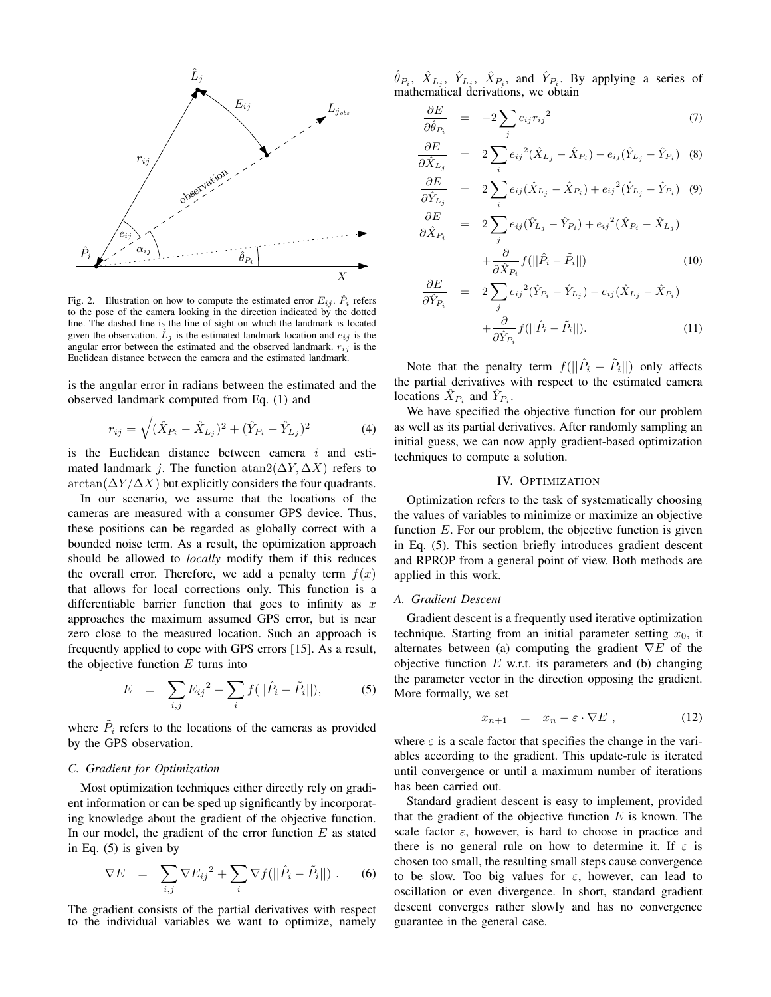

Fig. 2. Illustration on how to compute the estimated error  $E_{ij}$ .  $\hat{P}_i$  refers to the pose of the camera looking in the direction indicated by the dotted line. The dashed line is the line of sight on which the landmark is located given the observation.  $\hat{L}_j$  is the estimated landmark location and  $e_{ij}$  is the angular error between the estimated and the observed landmark.  $r_{ij}$  is the Euclidean distance between the camera and the estimated landmark.

is the angular error in radians between the estimated and the observed landmark computed from Eq. (1) and

$$
r_{ij} = \sqrt{(\hat{X}_{P_i} - \hat{X}_{L_j})^2 + (\hat{Y}_{P_i} - \hat{Y}_{L_j})^2}
$$
(4)

is the Euclidean distance between camera  $i$  and estimated landmark j. The function atan2( $\Delta Y$ ,  $\Delta X$ ) refers to  $\arctan(\Delta Y/\Delta X)$  but explicitly considers the four quadrants.

In our scenario, we assume that the locations of the cameras are measured with a consumer GPS device. Thus, these positions can be regarded as globally correct with a bounded noise term. As a result, the optimization approach should be allowed to *locally* modify them if this reduces the overall error. Therefore, we add a penalty term  $f(x)$ that allows for local corrections only. This function is a differentiable barrier function that goes to infinity as  $x$ approaches the maximum assumed GPS error, but is near zero close to the measured location. Such an approach is frequently applied to cope with GPS errors [15]. As a result, the objective function  $E$  turns into

$$
E = \sum_{i,j} E_{ij}^{2} + \sum_{i} f(||\hat{P}_{i} - \tilde{P}_{i}||),
$$
 (5)

where  $\tilde{P}_i$  refers to the locations of the cameras as provided by the GPS observation.

# *C. Gradient for Optimization*

Most optimization techniques either directly rely on gradient information or can be sped up significantly by incorporating knowledge about the gradient of the objective function. In our model, the gradient of the error function  $E$  as stated in Eq. (5) is given by

$$
\nabla E = \sum_{i,j} \nabla E_{ij}^2 + \sum_i \nabla f(||\hat{P}_i - \tilde{P}_i||) . \quad (6)
$$

The gradient consists of the partial derivatives with respect to the individual variables we want to optimize, namely

 $\hat{\theta}_{P_i}$ ,  $\hat{X}_{L_j}$ ,  $\hat{Y}_{L_j}$ ,  $\hat{X}_{P_i}$ , and  $\hat{Y}_{P_i}$ . By applying a series of mathematical derivations, we obtain

$$
\frac{\partial E}{\partial \hat{\theta}_{P_i}} = -2 \sum_j e_{ij} r_{ij}^2 \tag{7}
$$

$$
\frac{\partial E}{\partial \hat{X}_{L_j}} = 2 \sum_{i} e_{ij}{}^2 (\hat{X}_{L_j} - \hat{X}_{P_i}) - e_{ij} (\hat{Y}_{L_j} - \hat{Y}_{P_i}) \quad (8)
$$

$$
\frac{\partial E}{\partial \hat{Y}_{L_j}} = 2 \sum_{i} e_{ij} (\hat{X}_{L_j} - \hat{X}_{P_i}) + e_{ij}{}^2 (\hat{Y}_{L_j} - \hat{Y}_{P_i}) \quad (9)
$$

$$
\frac{\partial E}{\partial \hat{X}_{P_i}} = 2 \sum_{j} e_{ij} (\hat{Y}_{L_j} - \hat{Y}_{P_i}) + e_{ij}^2 (\hat{X}_{P_i} - \hat{X}_{L_j}) + \frac{\partial}{\partial \hat{X}_{P_i}} f(||\hat{P}_i - \tilde{P}_i||)
$$
\n(10)

$$
\frac{\partial E}{\partial \hat{Y}_{P_i}} = 2 \sum_j e_{ij}^2 (\hat{Y}_{P_i} - \hat{Y}_{L_j}) - e_{ij} (\hat{X}_{L_j} - \hat{X}_{P_i}) + \frac{\partial}{\partial \hat{Y}_{P_i}} f(||\hat{P}_i - \tilde{P}_i||). \tag{11}
$$

Note that the penalty term  $f(||\hat{P}_i - \tilde{P}_i||)$  only affects the partial derivatives with respect to the estimated camera locations  $\hat{X}_{P_i}$  and  $\hat{Y}_{P_i}$ .

We have specified the objective function for our problem as well as its partial derivatives. After randomly sampling an initial guess, we can now apply gradient-based optimization techniques to compute a solution.

### IV. OPTIMIZATION

Optimization refers to the task of systematically choosing the values of variables to minimize or maximize an objective function  $E$ . For our problem, the objective function is given in Eq. (5). This section briefly introduces gradient descent and RPROP from a general point of view. Both methods are applied in this work.

# *A. Gradient Descent*

 $\overline{\partial}$ 

Gradient descent is a frequently used iterative optimization technique. Starting from an initial parameter setting  $x_0$ , it alternates between (a) computing the gradient  $\nabla E$  of the objective function  $E$  w.r.t. its parameters and (b) changing the parameter vector in the direction opposing the gradient. More formally, we set

$$
x_{n+1} = x_n - \varepsilon \cdot \nabla E , \qquad (12)
$$

where  $\varepsilon$  is a scale factor that specifies the change in the variables according to the gradient. This update-rule is iterated until convergence or until a maximum number of iterations has been carried out.

Standard gradient descent is easy to implement, provided that the gradient of the objective function  $E$  is known. The scale factor  $\varepsilon$ , however, is hard to choose in practice and there is no general rule on how to determine it. If  $\varepsilon$  is chosen too small, the resulting small steps cause convergence to be slow. Too big values for  $\varepsilon$ , however, can lead to oscillation or even divergence. In short, standard gradient descent converges rather slowly and has no convergence guarantee in the general case.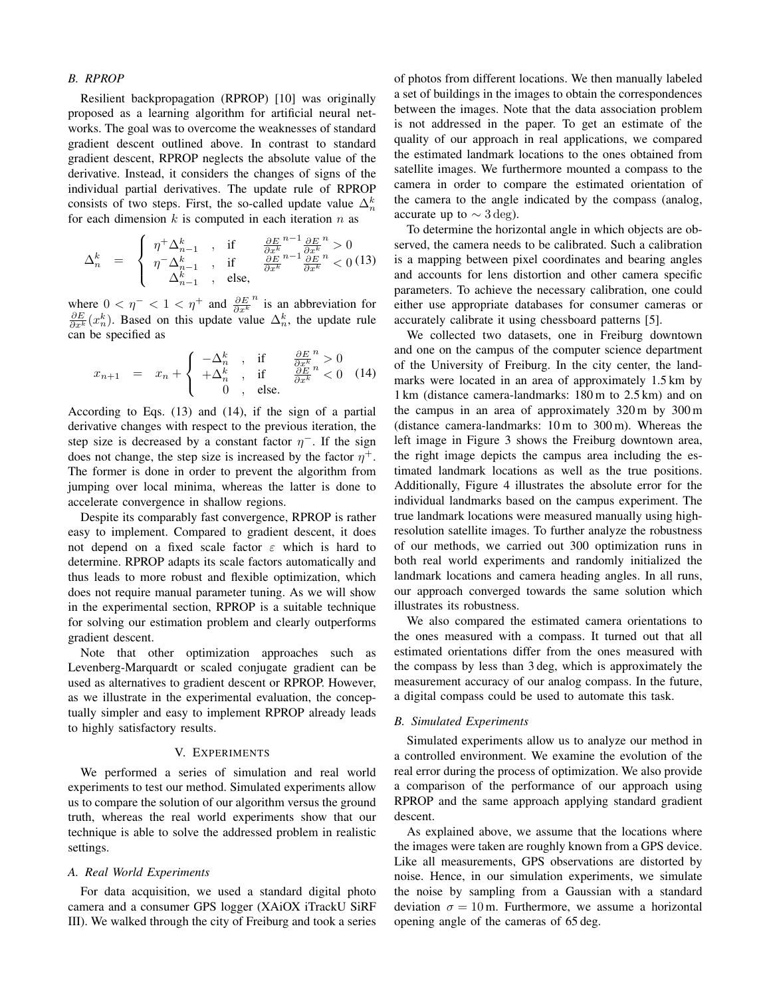# *B. RPROP*

Resilient backpropagation (RPROP) [10] was originally proposed as a learning algorithm for artificial neural networks. The goal was to overcome the weaknesses of standard gradient descent outlined above. In contrast to standard gradient descent, RPROP neglects the absolute value of the derivative. Instead, it considers the changes of signs of the individual partial derivatives. The update rule of RPROP consists of two steps. First, the so-called update value  $\Delta_n^k$ for each dimension  $k$  is computed in each iteration  $n$  as

$$
\Delta_n^k = \begin{cases}\n\eta^+ \Delta_{n-1}^k, & \text{if } \frac{\partial E}{\partial x^k}^{n-1} \frac{\partial E}{\partial x^k}^n > 0 \\
\eta^- \Delta_{n-1}^k, & \text{if } \frac{\partial E}{\partial x^k}^{n-1} \frac{\partial E}{\partial x^k}^n < 0\n\end{cases}
$$
\n(13)

where  $0 < \eta^{-} < 1 < \eta^{+}$  and  $\frac{\partial E}{\partial x^{k}}$  $n$  is an abbreviation for  $\frac{\partial E}{\partial x^k}(x_n^k)$ . Based on this update value  $\Delta_n^k$ , the update rule can be specified as

$$
x_{n+1} = x_n + \begin{cases} -\Delta_n^k, & \text{if } \frac{\partial E}{\partial x^k} > 0\\ +\Delta_n^k, & \text{if } \frac{\partial E}{\partial x^k} < 0 \end{cases} \tag{14}
$$

According to Eqs. (13) and (14), if the sign of a partial derivative changes with respect to the previous iteration, the step size is decreased by a constant factor  $\eta^-$ . If the sign does not change, the step size is increased by the factor  $\eta^+$ . The former is done in order to prevent the algorithm from jumping over local minima, whereas the latter is done to accelerate convergence in shallow regions.

Despite its comparably fast convergence, RPROP is rather easy to implement. Compared to gradient descent, it does not depend on a fixed scale factor  $\varepsilon$  which is hard to determine. RPROP adapts its scale factors automatically and thus leads to more robust and flexible optimization, which does not require manual parameter tuning. As we will show in the experimental section, RPROP is a suitable technique for solving our estimation problem and clearly outperforms gradient descent.

Note that other optimization approaches such as Levenberg-Marquardt or scaled conjugate gradient can be used as alternatives to gradient descent or RPROP. However, as we illustrate in the experimental evaluation, the conceptually simpler and easy to implement RPROP already leads to highly satisfactory results.

### V. EXPERIMENTS

We performed a series of simulation and real world experiments to test our method. Simulated experiments allow us to compare the solution of our algorithm versus the ground truth, whereas the real world experiments show that our technique is able to solve the addressed problem in realistic settings.

# *A. Real World Experiments*

For data acquisition, we used a standard digital photo camera and a consumer GPS logger (XAiOX iTrackU SiRF III). We walked through the city of Freiburg and took a series of photos from different locations. We then manually labeled a set of buildings in the images to obtain the correspondences between the images. Note that the data association problem is not addressed in the paper. To get an estimate of the quality of our approach in real applications, we compared the estimated landmark locations to the ones obtained from satellite images. We furthermore mounted a compass to the camera in order to compare the estimated orientation of the camera to the angle indicated by the compass (analog, accurate up to  $\sim$  3 deg).

To determine the horizontal angle in which objects are observed, the camera needs to be calibrated. Such a calibration is a mapping between pixel coordinates and bearing angles and accounts for lens distortion and other camera specific parameters. To achieve the necessary calibration, one could either use appropriate databases for consumer cameras or accurately calibrate it using chessboard patterns [5].

We collected two datasets, one in Freiburg downtown and one on the campus of the computer science department of the University of Freiburg. In the city center, the landmarks were located in an area of approximately 1.5 km by 1 km (distance camera-landmarks: 180 m to 2.5 km) and on the campus in an area of approximately 320 m by 300 m (distance camera-landmarks: 10 m to 300 m). Whereas the left image in Figure 3 shows the Freiburg downtown area, the right image depicts the campus area including the estimated landmark locations as well as the true positions. Additionally, Figure 4 illustrates the absolute error for the individual landmarks based on the campus experiment. The true landmark locations were measured manually using highresolution satellite images. To further analyze the robustness of our methods, we carried out 300 optimization runs in both real world experiments and randomly initialized the landmark locations and camera heading angles. In all runs, our approach converged towards the same solution which illustrates its robustness.

We also compared the estimated camera orientations to the ones measured with a compass. It turned out that all estimated orientations differ from the ones measured with the compass by less than 3 deg, which is approximately the measurement accuracy of our analog compass. In the future, a digital compass could be used to automate this task.

# *B. Simulated Experiments*

Simulated experiments allow us to analyze our method in a controlled environment. We examine the evolution of the real error during the process of optimization. We also provide a comparison of the performance of our approach using RPROP and the same approach applying standard gradient descent.

As explained above, we assume that the locations where the images were taken are roughly known from a GPS device. Like all measurements, GPS observations are distorted by noise. Hence, in our simulation experiments, we simulate the noise by sampling from a Gaussian with a standard deviation  $\sigma = 10$  m. Furthermore, we assume a horizontal opening angle of the cameras of 65 deg.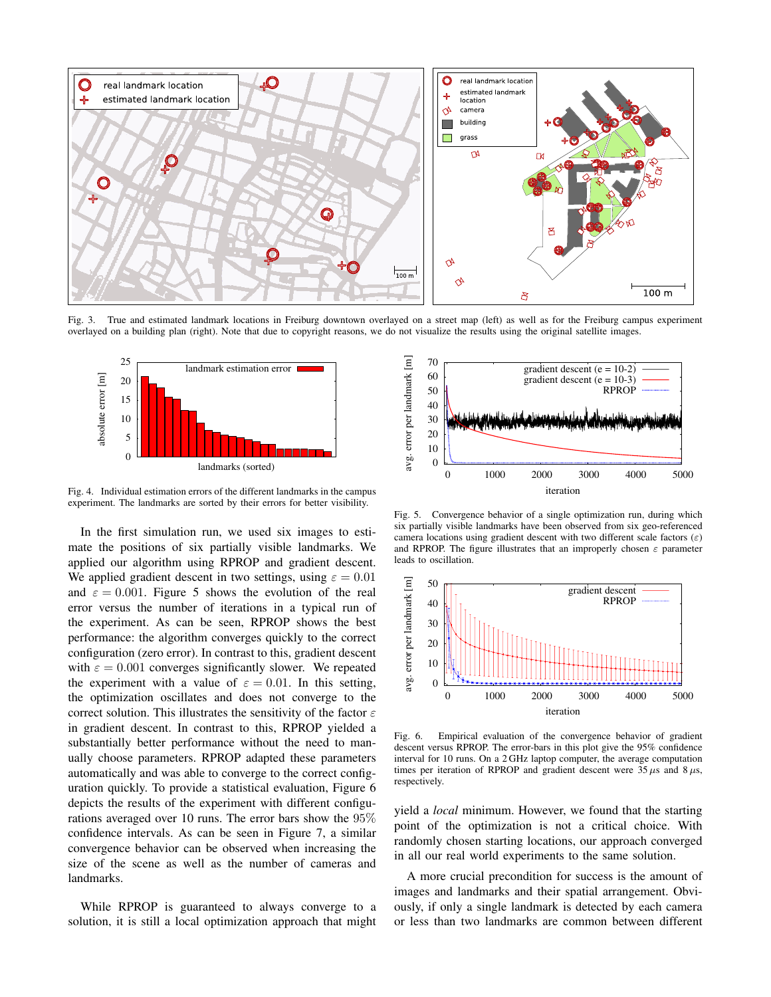

Fig. 3. True and estimated landmark locations in Freiburg downtown overlayed on a street map (left) as well as for the Freiburg campus experiment overlayed on a building plan (right). Note that due to copyright reasons, we do not visualize the results using the original satellite images.



Fig. 4. Individual estimation errors of the different landmarks in the campus experiment. The landmarks are sorted by their errors for better visibility.

In the first simulation run, we used six images to estimate the positions of six partially visible landmarks. We applied our algorithm using RPROP and gradient descent. We applied gradient descent in two settings, using  $\varepsilon = 0.01$ and  $\varepsilon = 0.001$ . Figure 5 shows the evolution of the real error versus the number of iterations in a typical run of the experiment. As can be seen, RPROP shows the best performance: the algorithm converges quickly to the correct configuration (zero error). In contrast to this, gradient descent with  $\varepsilon = 0.001$  converges significantly slower. We repeated the experiment with a value of  $\varepsilon = 0.01$ . In this setting, the optimization oscillates and does not converge to the correct solution. This illustrates the sensitivity of the factor  $\varepsilon$ in gradient descent. In contrast to this, RPROP yielded a substantially better performance without the need to manually choose parameters. RPROP adapted these parameters automatically and was able to converge to the correct configuration quickly. To provide a statistical evaluation, Figure 6 depicts the results of the experiment with different configurations averaged over 10 runs. The error bars show the 95% confidence intervals. As can be seen in Figure 7, a similar convergence behavior can be observed when increasing the size of the scene as well as the number of cameras and landmarks.

While RPROP is guaranteed to always converge to a solution, it is still a local optimization approach that might



Fig. 5. Convergence behavior of a single optimization run, during which six partially visible landmarks have been observed from six geo-referenced camera locations using gradient descent with two different scale factors  $(\varepsilon)$ and RPROP. The figure illustrates that an improperly chosen  $\varepsilon$  parameter leads to oscillation.



Fig. 6. Empirical evaluation of the convergence behavior of gradient descent versus RPROP. The error-bars in this plot give the 95% confidence interval for 10 runs. On a 2 GHz laptop computer, the average computation times per iteration of RPROP and gradient descent were 35  $\mu$ s and 8  $\mu$ s, respectively.

yield a *local* minimum. However, we found that the starting point of the optimization is not a critical choice. With randomly chosen starting locations, our approach converged in all our real world experiments to the same solution.

A more crucial precondition for success is the amount of images and landmarks and their spatial arrangement. Obviously, if only a single landmark is detected by each camera or less than two landmarks are common between different